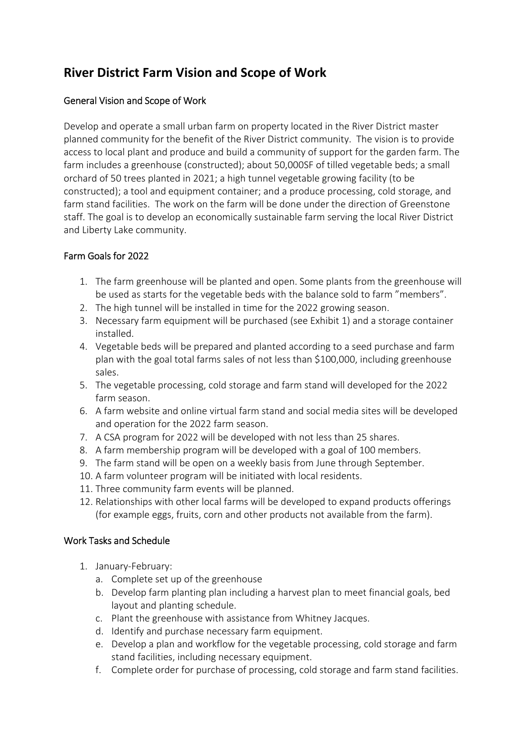## **River District Farm Vision and Scope of Work**

## General Vision and Scope of Work

Develop and operate a small urban farm on property located in the River District master planned community for the benefit of the River District community. The vision is to provide access to local plant and produce and build a community of support for the garden farm. The farm includes a greenhouse (constructed); about 50,000SF of tilled vegetable beds; a small orchard of 50 trees planted in 2021; a high tunnel vegetable growing facility (to be constructed); a tool and equipment container; and a produce processing, cold storage, and farm stand facilities. The work on the farm will be done under the direction of Greenstone staff. The goal is to develop an economically sustainable farm serving the local River District and Liberty Lake community.

## Farm Goals for 2022

- 1. The farm greenhouse will be planted and open. Some plants from the greenhouse will be used as starts for the vegetable beds with the balance sold to farm "members".
- 2. The high tunnel will be installed in time for the 2022 growing season.
- 3. Necessary farm equipment will be purchased (see Exhibit 1) and a storage container installed.
- 4. Vegetable beds will be prepared and planted according to a seed purchase and farm plan with the goal total farms sales of not less than \$100,000, including greenhouse sales.
- 5. The vegetable processing, cold storage and farm stand will developed for the 2022 farm season.
- 6. A farm website and online virtual farm stand and social media sites will be developed and operation for the 2022 farm season.
- 7. A CSA program for 2022 will be developed with not less than 25 shares.
- 8. A farm membership program will be developed with a goal of 100 members.
- 9. The farm stand will be open on a weekly basis from June through September.
- 10. A farm volunteer program will be initiated with local residents.
- 11. Three community farm events will be planned.
- 12. Relationships with other local farms will be developed to expand products offerings (for example eggs, fruits, corn and other products not available from the farm).

## Work Tasks and Schedule

- 1. January-February:
	- a. Complete set up of the greenhouse
	- b. Develop farm planting plan including a harvest plan to meet financial goals, bed layout and planting schedule.
	- c. Plant the greenhouse with assistance from Whitney Jacques.
	- d. Identify and purchase necessary farm equipment.
	- e. Develop a plan and workflow for the vegetable processing, cold storage and farm stand facilities, including necessary equipment.
	- f. Complete order for purchase of processing, cold storage and farm stand facilities.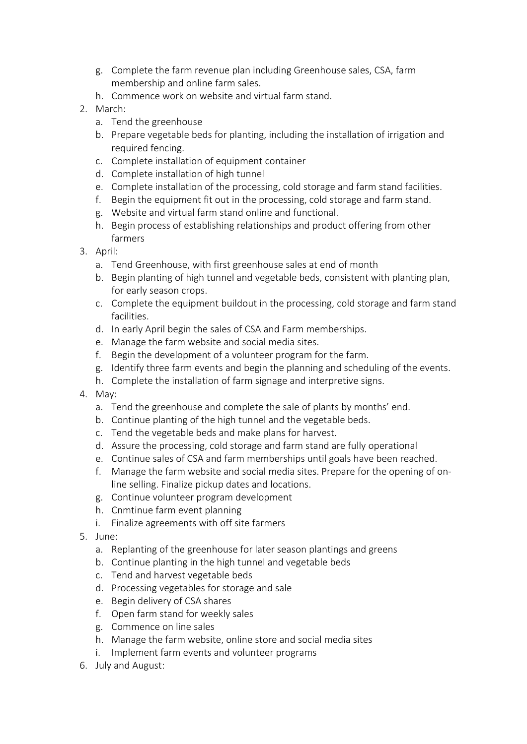- g. Complete the farm revenue plan including Greenhouse sales, CSA, farm membership and online farm sales.
- h. Commence work on website and virtual farm stand.
- 2. March:
	- a. Tend the greenhouse
	- b. Prepare vegetable beds for planting, including the installation of irrigation and required fencing.
	- c. Complete installation of equipment container
	- d. Complete installation of high tunnel
	- e. Complete installation of the processing, cold storage and farm stand facilities.
	- f. Begin the equipment fit out in the processing, cold storage and farm stand.
	- g. Website and virtual farm stand online and functional.
	- h. Begin process of establishing relationships and product offering from other farmers
- 3. April:
	- a. Tend Greenhouse, with first greenhouse sales at end of month
	- b. Begin planting of high tunnel and vegetable beds, consistent with planting plan, for early season crops.
	- c. Complete the equipment buildout in the processing, cold storage and farm stand facilities.
	- d. In early April begin the sales of CSA and Farm memberships.
	- e. Manage the farm website and social media sites.
	- f. Begin the development of a volunteer program for the farm.
	- g. Identify three farm events and begin the planning and scheduling of the events.
	- h. Complete the installation of farm signage and interpretive signs.
- 4. May:
	- a. Tend the greenhouse and complete the sale of plants by months' end.
	- b. Continue planting of the high tunnel and the vegetable beds.
	- c. Tend the vegetable beds and make plans for harvest.
	- d. Assure the processing, cold storage and farm stand are fully operational
	- e. Continue sales of CSA and farm memberships until goals have been reached.
	- f. Manage the farm website and social media sites. Prepare for the opening of online selling. Finalize pickup dates and locations.
	- g. Continue volunteer program development
	- h. Cnmtinue farm event planning
	- i. Finalize agreements with off site farmers
- 5. June:
	- a. Replanting of the greenhouse for later season plantings and greens
	- b. Continue planting in the high tunnel and vegetable beds
	- c. Tend and harvest vegetable beds
	- d. Processing vegetables for storage and sale
	- e. Begin delivery of CSA shares
	- f. Open farm stand for weekly sales
	- g. Commence on line sales
	- h. Manage the farm website, online store and social media sites
	- i. Implement farm events and volunteer programs
- 6. July and August: